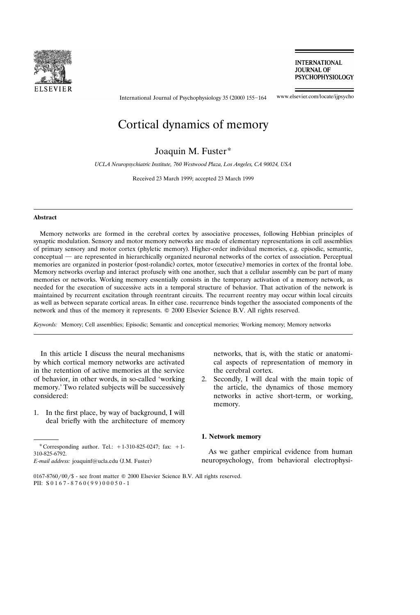

**INTERNATIONAL JOURNAL OF PSYCHOPHYSIOLOGY** 

International Journal of Psychophysiology 35 (2000) 155-164

www.elsevier.com/locate/ijpsycho

# Cortical dynamics of memory

Joaquin M. Fuster\*

*UCLA Neuropsychiatric Institute, 760 Westwood Plaza, Los Angeles, CA 90024, USA*

Received 23 March 1999; accepted 23 March 1999

# **Abstract**

Memory networks are formed in the cerebral cortex by associative processes, following Hebbian principles of synaptic modulation. Sensory and motor memory networks are made of elementary representations in cell assemblies of primary sensory and motor cortex (phyletic memory). Higher-order individual memories, e.g. episodic, semantic, conceptual — are represented in hierarchically organized neuronal networks of the cortex of association. Perceptual memories are organized in posterior (post-rolandic) cortex, motor (executive) memories in cortex of the frontal lobe. Memory networks overlap and interact profusely with one another, such that a cellular assembly can be part of many memories or networks. Working memory essentially consists in the temporary activation of a memory network, as needed for the execution of successive acts in a temporal structure of behavior. That activation of the network is maintained by recurrent excitation through reentrant circuits. The recurrent reentry may occur within local circuits as well as between separate cortical areas. In either case. recurrence binds together the associated components of the network and thus of the memory it represents.  $\circ$  2000 Elsevier Science B.V. All rights reserved.

*Keywords:* Memory; Cell assemblies; Episodic; Semantic and conceptical memories; Working memory; Memory networks

In this article I discuss the neural mechanisms by which cortical memory networks are activated in the retention of active memories at the service of behavior, in other words, in so-called 'working memory.' Two related subjects will be successively considered:

1. In the first place, by way of background, I will deal briefly with the architecture of memory

*E-mail address:* joaquinf@ucla.edu (J.M. Fuster)

networks, that is, with the static or anatomical aspects of representation of memory in the cerebral cortex.

2. Secondly, I will deal with the main topic of the article, the dynamics of those memory networks in active short-term, or working, memory.

## **1. Network memory**

As we gather empirical evidence from human neuropsychology, from behavioral electrophysi-

<sup>\*</sup> Corresponding author. Tel.:  $+1-310-825-0247$ ; fax:  $+1-$ 310-825-6792.

 $0167-8760/00$ /\$ - see front matter  $\odot$  2000 Elsevier Science B.V. All rights reserved. PII:  $S0167 - 8760(99)00050 - 1$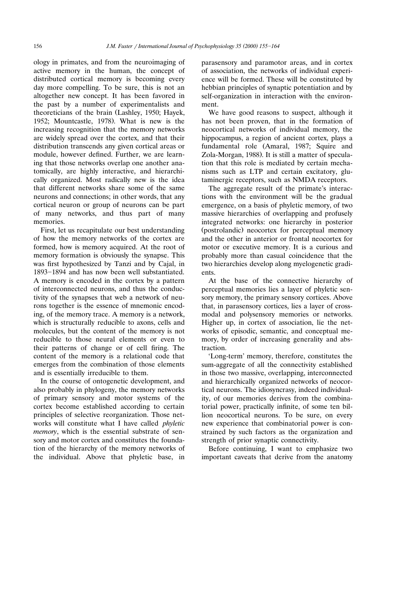ology in primates, and from the neuroimaging of active memory in the human, the concept of distributed cortical memory is becoming every day more compelling. To be sure, this is not an altogether new concept. It has been favored in the past by a number of experimentalists and theoreticians of the brain (Lashley, 1950; Hayek, 1952; Mountcastle, 1978). What is new is the increasing recognition that the memory networks are widely spread over the cortex, and that their distribution transcends any given cortical areas or module, however defined. Further, we are learning that those networks overlap one another anatomically, are highly interactive, and hierarchically organized. Most radically new is the idea that different networks share some of the same neurons and connections; in other words, that any cortical neuron or group of neurons can be part of many networks, and thus part of many memories.

First, let us recapitulate our best understanding of how the memory networks of the cortex are formed, how is memory acquired. At the root of memory formation is obviously the synapse. This was first hypothesized by Tanzi and by Cajal, in 1893–1894 and has now been well substantiated. A memory is encoded in the cortex by a pattern of interconnected neurons, and thus the conductivity of the synapses that web a network of neurons together is the essence of mnemonic encoding, of the memory trace. A memory is a network, which is structurally reducible to axons, cells and molecules, but the content of the memory is not reducible to those neural elements or even to their patterns of change or of cell firing. The content of the memory is a relational code that emerges from the combination of those elements and is essentially irreducible to them.

In the course of ontogenetic development, and also probably in phylogeny, the memory networks of primary sensory and motor systems of the cortex become established according to certain principles of selective reorganization. Those networks will constitute what I have called *phyletic memory*, which is the essential substrate of sensory and motor cortex and constitutes the foundation of the hierarchy of the memory networks of the individual. Above that phyletic base, in parasensory and paramotor areas, and in cortex of association, the networks of individual experience will be formed. These will be constituted by hebbian principles of synaptic potentiation and by self-organization in interaction with the environment.

We have good reasons to suspect, although it has not been proven, that in the formation of neocortical networks of individual memory, the hippocampus, a region of ancient cortex, plays a fundamental role (Amaral, 1987; Squire and Zola-Morgan, 1988). It is still a matter of speculation that this role is mediated by certain mechanisms such as LTP and certain excitatory, glutaminergic receptors, such as NMDA receptors.

The aggregate result of the primate's interactions with the environment will be the gradual emergence, on a basis of phyletic memory, of two massive hierarchies of overlapping and profusely integrated networks: one hierarchy in posterior (postrolandic) neocortex for perceptual memory and the other in anterior or frontal neocortex for motor or executive memory. It is a curious and probably more than casual coincidence that the two hierarchies develop along myelogenetic gradients.

At the base of the connective hierarchy of perceptual memories lies a layer of phyletic sensory memory, the primary sensory cortices. Above that, in parasensory cortices, lies a layer of crossmodal and polysensory memories or networks. Higher up, in cortex of association, lie the networks of episodic, semantic, and conceptual memory, by order of increasing generality and abstraction.

'Long-term' memory, therefore, constitutes the sum-aggregate of all the connectivity established in those two massive, overlapping, interconnected and hierarchically organized networks of neocortical neurons. The idiosyncrasy, indeed individuality, of our memories derives from the combinatorial power, practically infinite, of some ten billion neocortical neurons. To be sure, on every new experience that combinatorial power is constrained by such factors as the organization and strength of prior synaptic connectivity.

Before continuing, I want to emphasize two important caveats that derive from the anatomy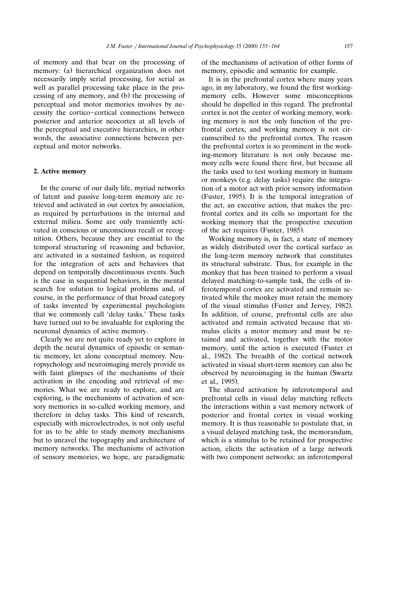of memory and that bear on the processing of memory: (a) hierarchical organization does not necessarily imply serial processing, for serial as well as parallel processing take place in the processing of any memory, and (b) the processing of perceptual and motor memories involves by necessity the cortico-cortical connections between posterior and anterior neocortex at all levels of the perceptual and executive hierarchies, in other words, the associative connections between perceptual and motor networks.

#### **2. Active memory**

In the course of our daily life, myriad networks of latent and passive long-term memory are retrieved and activated in our cortex by association, as required by perturbations in the internal and external milieu. Some are only transiently activated in conscious or unconscious recall or recognition. Others, because they are essential to the temporal structuring of reasoning and behavior, are activated in a sustained fashion, as required for the integration of acts and behaviors that depend on temporally discontinuous events. Such is the case in sequential behaviors, in the mental search for solution to logical problems and, of course, in the performance of that broad category of tasks invented by experimental psychologists that we commonly call 'delay tasks.' These tasks have turned out to be invaluable for exploring the neuronal dynamics of active memory.

Clearly we are not quite ready yet to explore in depth the neural dynamics of episodic or semantic memory, let alone conceptual memory. Neuropsychology and neuroimaging merely provide us with faint glimpses of the mechanisms of their activation in the encoding and retrieval of memories. What we are ready to explore, and are exploring, is the mechanisms of activation of sensory memories in so-called working memory, and therefore in delay tasks. This kind of research, especially with microelectrodes, is not only useful for us to be able to study memory mechanisms but to unravel the topography and architecture of memory networks. The mechanisms of activation of sensory memories, we hope, are paradigmatic of the mechanisms of activation of other forms of memory, episodic and semantic for example.

It is in the prefrontal cortex where many years ago, in my laboratory, we found the first workingmemory cells. However some misconceptions should be dispelled in this regard. The prefrontal cortex is not the center of working memory, working memory is not the only function of the prefrontal cortex, and working memory is not circumscribed to the prefrontal cortex. The reason the prefrontal cortex is so prominent in the working-memory literature is not only because memory cells were found there first, but because all the tasks used to test working memory in humans or monkeys (e.g. delay tasks) require the integration of a motor act with prior sensory information (Fuster, 1995). It is the temporal integration of the act, an executive action, that makes the prefrontal cortex and its cells so important for the working memory that the prospective execution of the act requires (Fuster, 1985).

Working memory is, in fact, a state of memory as widely distributed over the cortical surface as the long-term memory network that constitutes its structural substrate. Thus, for example in the monkey that has been trained to perform a visual delayed matching-to-sample task, the cells of inferotemporal cortex are activated and remain activated while the monkey must retain the memory of the visual stimulus (Fuster and Jervey, 1982). In addition, of course, prefrontal cells are also activated and remain activated because that stimulus elicits a motor memory and must be retained and activated, together with the motor memory, until the action is executed (Fuster et al., 1982). The breadth of the cortical network activated in visual short-term memory can also be observed by neuroimaging in the human (Swartz et al., 1995).

The shared activation by inferotemporal and prefrontal cells in visual delay matching reflects the interactions within a vast memory network of posterior and frontal cortex in visual working memory. It is thus reasonable to postulate that, in a visual delayed matching task, the memorandum, which is a stimulus to be retained for prospective action, elicits the activation of a large network with two component networks: an inferotemporal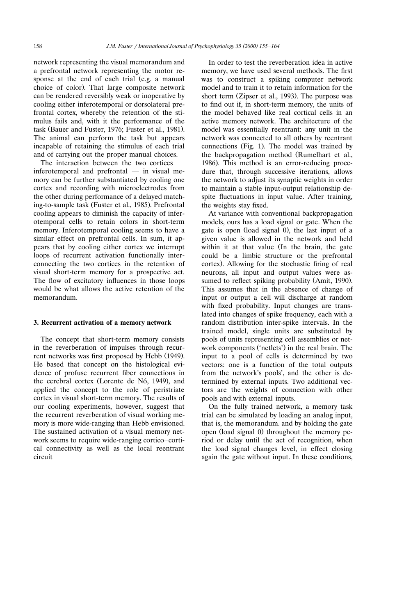network representing the visual memorandum and a prefrontal network representing the motor response at the end of each trial (e.g. a manual choice of color). That large composite network can be rendered reversibly weak or inoperative by cooling either inferotemporal or dorsolateral prefrontal cortex, whereby the retention of the stimulus fails and, with it the performance of the task (Bauer and Fuster, 1976; Fuster et al., 1981). The animal can perform the task but appears incapable of retaining the stimulus of each trial and of carrying out the proper manual choices.

The interaction between the two cortices  $$ inferotemporal and prefrontal  $-$  in visual memory can be further substantiated by cooling one cortex and recording with microelectrodes from the other during performance of a delayed matching-to-sample task (Fuster et al., 1985). Prefrontal cooling appears to diminish the capacity of inferotemporal cells to retain colors in short-term memory. Inferotemporal cooling seems to have a similar effect on prefrontal cells. In sum, it appears that by cooling either cortex we interrupt loops of recurrent activation functionally interconnecting the two cortices in the retention of visual short-term memory for a prospective act. The flow of excitatory influences in those loops would be what allows the active retention of the memorandum.

## **3. Recurrent activation of a memory network**

The concept that short-term memory consists in the reverberation of impulses through recurrent networks was first proposed by Hebb (1949). He based that concept on the histological evidence of profuse recurrent fiber connections in the cerebral cortex (Lorente de Nó, 1949), and applied the concept to the role of peristriate cortex in visual short-term memory. The results of our cooling experiments, however, suggest that the recurrent reverberation of visual working memory is more wide-ranging than Hebb envisioned. The sustained activation of a visual memory network seems to require wide-ranging cortico-cortical connectivity as well as the local reentrant circuit

In order to test the reverberation idea in active memory, we have used several methods. The first was to construct a spiking computer network model and to train it to retain information for the short term (Zipser et al., 1993). The purpose was to find out if, in short-term memory, the units of the model behaved like real cortical cells in an active memory network. The architecture of the model was essentially reentrant: any unit in the network was connected to all others by reentrant connections (Fig. 1). The model was trained by the backpropagation method (Rumelhart et al., 1986). This method is an error-reducing procedure that, through successive iterations, allows the network to adjust its synaptic weights in order to maintain a stable input-output relationship despite fluctuations in input value. After training, the weights stay fixed.

At variance with conventional backpropagation models, ours has a load signal or gate. When the gate is open (load signal  $0$ ), the last input of a given value is allowed in the network and held within it at that value (In the brain, the gate could be a limbic structure or the prefrontal cortex). Allowing for the stochastic firing of real neurons, all input and output values were assumed to reflect spiking probability (Amit, 1990). This assumes that in the absence of change of input or output a cell will discharge at random with fixed probability. Input changes are translated into changes of spike frequency, each with a random distribution inter-spike intervals. In the trained model, single units are substituted by pools of units representing cell assemblies or network components ('netlets') in the real brain. The input to a pool of cells is determined by two vectors: one is a function of the total outputs from the network's pools', and the other is determined by external inputs. Two additional vectors are the weights of connection with other pools and with external inputs.

On the fully trained network, a memory task trial can be simulated by loading an analog input, that is, the memorandum. and by holding the gate open (load signal 0) throughout the memory period or delay until the act of recognition, when the load signal changes level, in effect closing again the gate without input. In these conditions,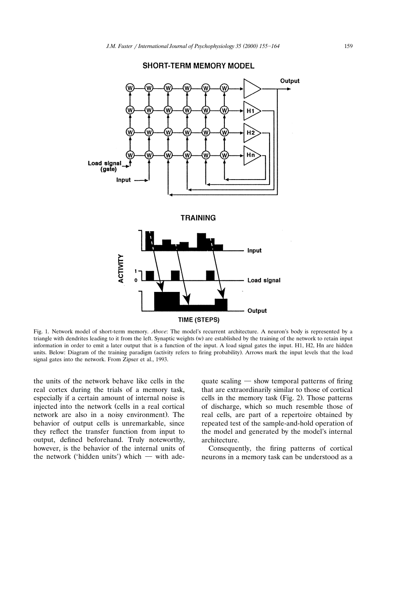

### **SHORT-TERM MEMORY MODEL**

Fig. 1. Network model of short-term memory. *Above*: The model's recurrent architecture. A neuron's body is represented by a triangle with dendrites leading to it from the left. Synaptic weights (w) are established by the training of the network to retain input information in order to emit a later output that is a function of the input. A load signal gates the input. H1, H2, Hn are hidden units. Below: Diagram of the training paradigm (activity refers to firing probability). Arrows mark the input levels that the load signal gates into the network. From Zipser et al., 1993.

the units of the network behave like cells in the real cortex during the trials of a memory task, especially if a certain amount of internal noise is injected into the network (cells in a real cortical network are also in a noisy environment). The behavior of output cells is unremarkable, since they reflect the transfer function from input to output, defined beforehand. Truly noteworthy, however, is the behavior of the internal units of the network ('hidden units') which — with adequate scaling  $\frac{ }{ }$  show temporal patterns of firing that are extraordinarily similar to those of cortical cells in the memory task (Fig. 2). Those patterns of discharge, which so much resemble those of real cells, are part of a repertoire obtained by repeated test of the sample-and-hold operation of the model and generated by the model's internal architecture.

Consequently, the firing patterns of cortical neurons in a memory task can be understood as a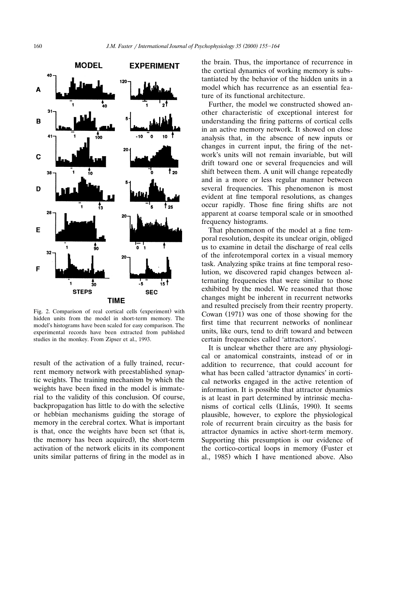

Fig. 2. Comparison of real cortical cells (experiment) with hidden units from the model in short-term memory. The model's histograms have been scaled for easy comparison. The experimental records have been extracted from published studies in the monkey. From Zipser et al., 1993.

result of the activation of a fully trained, recurrent memory network with preestablished synaptic weights. The training mechanism by which the weights have been fixed in the model is immaterial to the validity of this conclusion. Of course, backpropagation has little to do with the selective or hebbian mechanisms guiding the storage of memory in the cerebral cortex. What is important is that, once the weights have been set (that is, the memory has been acquired), the short-term activation of the network elicits in its component units similar patterns of firing in the model as in the brain. Thus, the importance of recurrence in the cortical dynamics of working memory is substantiated by the behavior of the hidden units in a model which has recurrence as an essential feature of its functional architecture.

Further, the model we constructed showed another characteristic of exceptional interest for understanding the firing patterns of cortical cells in an active memory network. It showed on close analysis that, in the absence of new inputs or changes in current input, the firing of the network's units will not remain invariable, but will drift toward one or several frequencies and will shift between them. A unit will change repeatedly and in a more or less regular manner between several frequencies. This phenomenon is most evident at fine temporal resolutions, as changes occur rapidly. Those fine firing shifts are not apparent at coarse temporal scale or in smoothed frequency histograms.

That phenomenon of the model at a fine temporal resolution, despite its unclear origin, obliged us to examine in detail the discharge of real cells of the inferotemporal cortex in a visual memory task. Analyzing spike trains at fine temporal resolution, we discovered rapid changes between alternating frequencies that were similar to those exhibited by the model. We reasoned that those changes might be inherent in recurrent networks and resulted precisely from their reentry property. Cowan  $(1971)$  was one of those showing for the first time that recurrent networks of nonlinear units, like ours, tend to drift toward and between certain frequencies called 'attractors'.

It is unclear whether there are any physiological or anatomical constraints, instead of or in addition to recurrence, that could account for what has been called 'attractor dynamics' in cortical networks engaged in the active retention of information. It is possible that attractor dynamics is at least in part determined by intrinsic mechanisms of cortical cells (Llinás, 1990). It seems plausible, however, to explore the physiological role of recurrent brain circuitry as the basis for attractor dynamics in active short-term memory. Supporting this presumption is our evidence of the cortico-cortical loops in memory (Fuster et al., 1985) which I have mentioned above. Also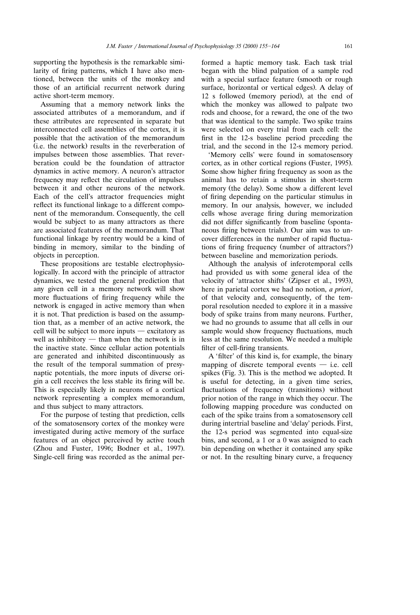supporting the hypothesis is the remarkable similarity of firing patterns, which I have also mentioned, between the units of the monkey and those of an artificial recurrent network during active short-term memory.

Assuming that a memory network links the associated attributes of a memorandum, and if these attributes are represented in separate but interconnected cell assemblies of the cortex, it is possible that the activation of the memorandum (i.e. the network) results in the reverberation of impulses between those assemblies. That reverberation could be the foundation of attractor dynamics in active memory. A neuron's attractor frequency may reflect the circulation of impulses between it and other neurons of the network. Each of the cell's attractor frequencies might reflect its functional linkage to a different component of the memorandum. Consequently, the cell would be subject to as many attractors as there are associated features of the memorandum. That functional linkage by reentry would be a kind of binding in memory, similar to the binding of objects in perception.

These propositions are testable electrophysiologically. In accord with the principle of attractor dynamics, we tested the general prediction that any given cell in a memory network will show more fluctuations of firing frequency while the network is engaged in active memory than when it is not. That prediction is based on the assumption that, as a member of an active network, the cell will be subject to more inputs  $-\text{excitatory as}$ well as inhibitory  $-$  than when the network is in the inactive state. Since cellular action potentials are generated and inhibited discontinuously as the result of the temporal summation of presynaptic potentials, the more inputs of diverse origin a cell receives the less stable its firing will be. This is especially likely in neurons of a cortical network representing a complex memorandum, and thus subject to many attractors.

For the purpose of testing that prediction, cells of the somatosensory cortex of the monkey were investigated during active memory of the surface features of an object perceived by active touch (Zhou and Fuster, 1996; Bodner et al., 1997). Single-cell firing was recorded as the animal performed a haptic memory task. Each task trial began with the blind palpation of a sample rod with a special surface feature (smooth or rough surface, horizontal or vertical edges). A delay of 12 s followed (memory period), at the end of which the monkey was allowed to palpate two rods and choose, for a reward, the one of the two that was identical to the sample. Two spike trains were selected on every trial from each cell: the first in the 12-s baseline period preceding the trial, and the second in the 12-s memory period.

'Memory cells' were found in somatosensory cortex, as in other cortical regions (Fuster, 1995). Some show higher firing frequency as soon as the animal has to retain a stimulus in short-term memory (the delay). Some show a different level of firing depending on the particular stimulus in memory. In our analysis, however, we included cells whose average firing during memorization did not differ significantly from baseline (spontaneous firing between trials). Our aim was to uncover differences in the number of rapid fluctuations of firing frequency (number of attractors?) between baseline and memorization periods.

Although the analysis of inferotemporal cells had provided us with some general idea of the velocity of 'attractor shifts' (Zipser et al., 1993), here in parietal cortex we had no notion, *a priori*, of that velocity and, consequently, of the temporal resolution needed to explore it in a massive body of spike trains from many neurons. Further, we had no grounds to assume that all cells in our sample would show frequency fluctuations, much less at the same resolution. We needed a multiple filter of cell-firing transients.

A 'filter' of this kind is, for example, the binary mapping of discrete temporal events  $-$  i.e. cell spikes (Fig. 3). This is the method we adopted. It is useful for detecting, in a given time series, fluctuations of frequency (transitions) without prior notion of the range in which they occur. The following mapping procedure was conducted on each of the spike trains from a somatosensory cell during intertrial baseline and 'delay' periods. First, the 12-s period was segmented into equal-size bins, and second, a 1 or a 0 was assigned to each bin depending on whether it contained any spike or not. In the resulting binary curve, a frequency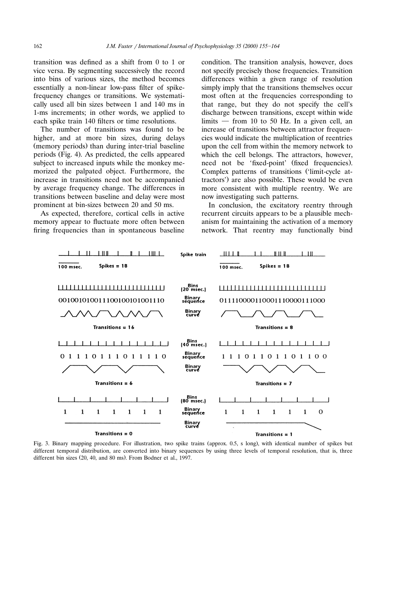transition was defined as a shift from 0 to 1 or vice versa. By segmenting successively the record into bins of various sizes, the method becomes essentially a non-linear low-pass filter of spikefrequency changes or transitions. We systematically used all bin sizes between 1 and 140 ms in 1-ms increments; in other words, we applied to each spike train 140 filters or time resolutions.

The number of transitions was found to be higher, and at more bin sizes, during delays (memory periods) than during inter-trial baseline periods (Fig. 4). As predicted, the cells appeared subject to increased inputs while the monkey memorized the palpated object. Furthermore, the increase in transitions need not be accompanied by average frequency change. The differences in transitions between baseline and delay were most prominent at bin-sizes between 20 and 50 ms.

As expected, therefore, cortical cells in active memory appear to fluctuate more often between firing frequencies than in spontaneous baseline

condition. The transition analysis, however, does not specify precisely those frequencies. Transition differences within a given range of resolution simply imply that the transitions themselves occur most often at the frequencies corresponding to that range, but they do not specify the cell's discharge between transitions, except within wide limits  $-$  from 10 to 50 Hz. In a given cell, an increase of transitions between attractor frequencies would indicate the multiplication of reentries upon the cell from within the memory network to which the cell belongs. The attractors, however, need not be 'fixed-point' (fixed frequencies). Complex patterns of transitions ('limit-cycle attractors') are also possible. These would be even more consistent with multiple reentry. We are now investigating such patterns.

In conclusion, the excitatory reentry through recurrent circuits appears to be a plausible mechanism for maintaining the activation of a memory network. That reentry may functionally bind



Fig. 3. Binary mapping procedure. For illustration, two spike trains (approx. 0.5, s long), with identical number of spikes but different temporal distribution, are converted into binary sequences by using three levels of temporal resolution, that is, three different bin sizes  $(20, 40, 40, 80, 80, 80)$ . From Bodner et al., 1997.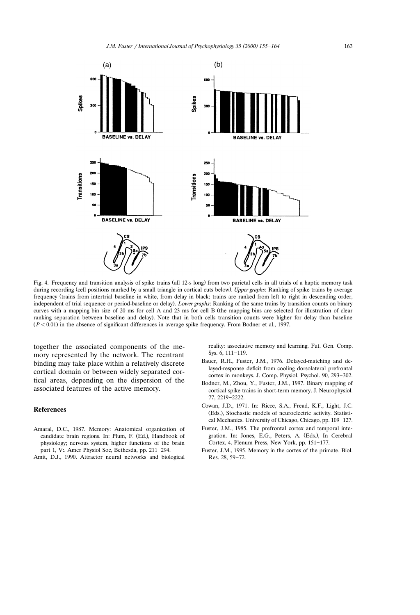

Fig. 4. Frequency and transition analysis of spike trains (all 12-s long) from two parietal cells in all trials of a haptic memory task during recording (cell positions marked by a small triangle in cortical cuts below). *Upper graphs*: Ranking of spike trains by average frequency (trains from intertrial baseline in white, from delay in black; trains are ranked from left to right in descending order, independent of trial sequence or period-baseline or delay). *Lower graphs*: Ranking of the same trains by transition counts on binary curves with a mapping bin size of 20 ms for cell A and 23 ms for cell B (the mapping bins are selected for illustration of clear ranking separation between baseline and delay). Note that in both cells transition counts were higher for delay than baseline  $(P < 0.01)$  in the absence of significant differences in average spike frequency. From Bodner et al., 1997.

together the associated components of the memory represented by the network. The reentrant binding may take place within a relatively discrete cortical domain or between widely separated cortical areas, depending on the dispersion of the associated features of the active memory.

# **References**

- Amaral, D.C., 1987. Memory: Anatomical organization of candidate brain regions. In: Plum, F. (Ed.), Handbook of physiology; nervous system, higher functions of the brain part 1, V:. Amer Physiol Soc, Bethesda, pp. 211-294.
- Amit, D.J., 1990. Attractor neural networks and biological

reality: associative memory and learning. Fut. Gen. Comp. Sys. 6, 111-119.

- Bauer, R.H., Fuster, J.M., 1976. Delayed-matching and delayed-response deficit from cooling dorsolateral prefrontal cortex in monkeys. J. Comp. Physiol. Psychol. 90, 293-302.
- Bodner, M., Zhou, Y., Fuster, J.M., 1997. Binary mapping of cortical spike trains in short-term memory. J. Neurophysiol. 77, 2219-2222.
- Cowan, J.D., 1971. In: Ricce, S.A., Fread, K.F., Light, J.C. (Eds.), Stochastic models of neuroelectric activity. Statistical Mechanics. University of Chicago, Chicago, pp. 109-127.
- Fuster, J.M., 1985. The prefrontal cortex and temporal integration. In: Jones, E.G., Peters, A. (Eds.), In Cerebral Cortex, 4. Plenum Press, New York, pp. 151-177.
- Fuster, J.M., 1995. Memory in the cortex of the primate. Biol. Res. 28, 59-72.